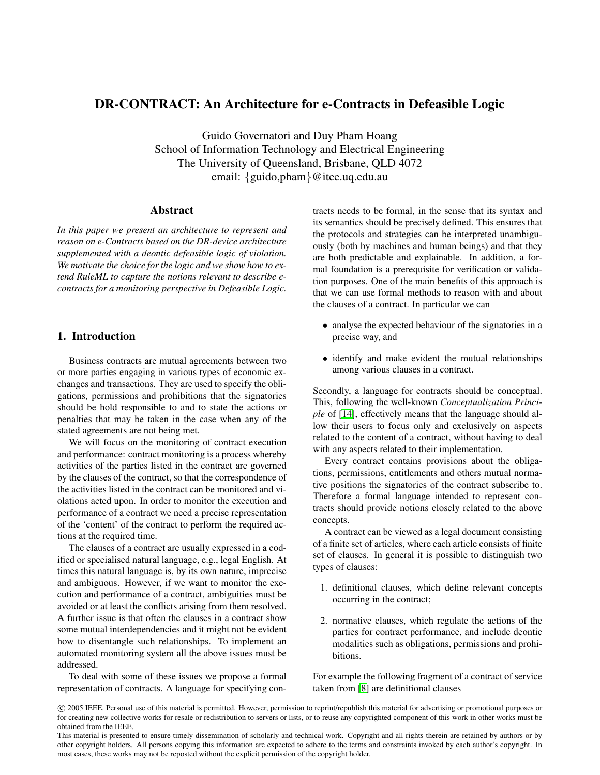# DR-CONTRACT: An Architecture for e-Contracts in Defeasible Logic

Guido Governatori and Duy Pham Hoang School of Information Technology and Electrical Engineering The University of Queensland, Brisbane, QLD 4072 email: {guido,pham}@itee.uq.edu.au

## Abstract

*In this paper we present an architecture to represent and reason on e-Contracts based on the DR-device architecture supplemented with a deontic defeasible logic of violation. We motivate the choice for the logic and we show how to extend RuleML to capture the notions relevant to describe econtracts for a monitoring perspective in Defeasible Logic.*

# 1. Introduction

Business contracts are mutual agreements between two or more parties engaging in various types of economic exchanges and transactions. They are used to specify the obligations, permissions and prohibitions that the signatories should be hold responsible to and to state the actions or penalties that may be taken in the case when any of the stated agreements are not being met.

We will focus on the monitoring of contract execution and performance: contract monitoring is a process whereby activities of the parties listed in the contract are governed by the clauses of the contract, so that the correspondence of the activities listed in the contract can be monitored and violations acted upon. In order to monitor the execution and performance of a contract we need a precise representation of the 'content' of the contract to perform the required actions at the required time.

The clauses of a contract are usually expressed in a codified or specialised natural language, e.g., legal English. At times this natural language is, by its own nature, imprecise and ambiguous. However, if we want to monitor the execution and performance of a contract, ambiguities must be avoided or at least the conflicts arising from them resolved. A further issue is that often the clauses in a contract show some mutual interdependencies and it might not be evident how to disentangle such relationships. To implement an automated monitoring system all the above issues must be addressed.

To deal with some of these issues we propose a formal representation of contracts. A language for specifying contracts needs to be formal, in the sense that its syntax and its semantics should be precisely defined. This ensures that the protocols and strategies can be interpreted unambiguously (both by machines and human beings) and that they are both predictable and explainable. In addition, a formal foundation is a prerequisite for verification or validation purposes. One of the main benefits of this approach is that we can use formal methods to reason with and about the clauses of a contract. In particular we can

- analyse the expected behaviour of the signatories in a precise way, and
- identify and make evident the mutual relationships among various clauses in a contract.

Secondly, a language for contracts should be conceptual. This, following the well-known *Conceptualization Principle* of [\[14\]](#page-7-0), effectively means that the language should allow their users to focus only and exclusively on aspects related to the content of a contract, without having to deal with any aspects related to their implementation.

Every contract contains provisions about the obligations, permissions, entitlements and others mutual normative positions the signatories of the contract subscribe to. Therefore a formal language intended to represent contracts should provide notions closely related to the above concepts.

A contract can be viewed as a legal document consisting of a finite set of articles, where each article consists of finite set of clauses. In general it is possible to distinguish two types of clauses:

- 1. definitional clauses, which define relevant concepts occurring in the contract;
- 2. normative clauses, which regulate the actions of the parties for contract performance, and include deontic modalities such as obligations, permissions and prohibitions.

For example the following fragment of a contract of service taken from [\[8\]](#page-7-0) are definitional clauses

c 2005 IEEE. Personal use of this material is permitted. However, permission to reprint/republish this material for advertising or promotional purposes or for creating new collective works for resale or redistribution to servers or lists, or to reuse any copyrighted component of this work in other works must be obtained from the IEEE.

This material is presented to ensure timely dissemination of scholarly and technical work. Copyright and all rights therein are retained by authors or by other copyright holders. All persons copying this information are expected to adhere to the terms and constraints invoked by each author's copyright. In most cases, these works may not be reposted without the explicit permission of the copyright holder.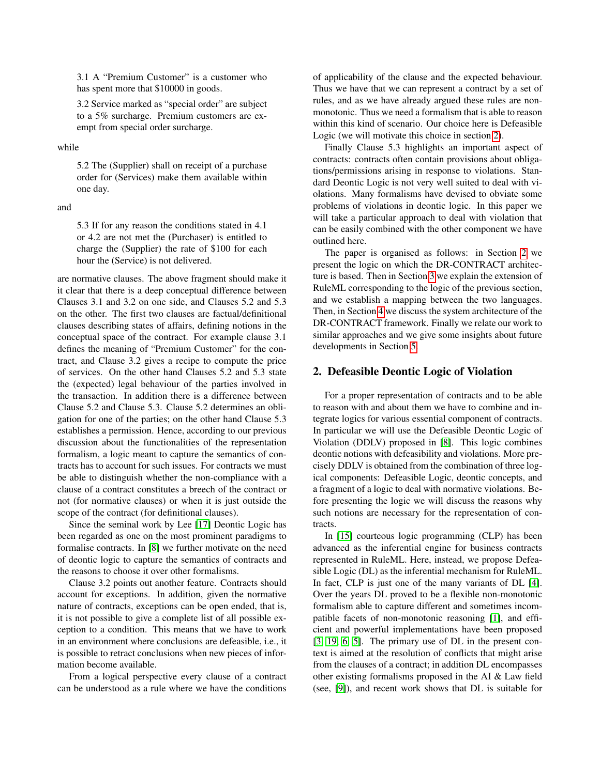3.1 A "Premium Customer" is a customer who has spent more that \$10000 in goods.

3.2 Service marked as "special order" are subject to a 5% surcharge. Premium customers are exempt from special order surcharge.

#### while

5.2 The (Supplier) shall on receipt of a purchase order for (Services) make them available within one day.

#### and

5.3 If for any reason the conditions stated in 4.1 or 4.2 are not met the (Purchaser) is entitled to charge the (Supplier) the rate of \$100 for each hour the (Service) is not delivered.

are normative clauses. The above fragment should make it it clear that there is a deep conceptual difference between Clauses 3.1 and 3.2 on one side, and Clauses 5.2 and 5.3 on the other. The first two clauses are factual/definitional clauses describing states of affairs, defining notions in the conceptual space of the contract. For example clause 3.1 defines the meaning of "Premium Customer" for the contract, and Clause 3.2 gives a recipe to compute the price of services. On the other hand Clauses 5.2 and 5.3 state the (expected) legal behaviour of the parties involved in the transaction. In addition there is a difference between Clause 5.2 and Clause 5.3. Clause 5.2 determines an obligation for one of the parties; on the other hand Clause 5.3 establishes a permission. Hence, according to our previous discussion about the functionalities of the representation formalism, a logic meant to capture the semantics of contracts has to account for such issues. For contracts we must be able to distinguish whether the non-compliance with a clause of a contract constitutes a breech of the contract or not (for normative clauses) or when it is just outside the scope of the contract (for definitional clauses).

Since the seminal work by Lee [\[17\]](#page-8-0) Deontic Logic has been regarded as one on the most prominent paradigms to formalise contracts. In [\[8\]](#page-7-0) we further motivate on the need of deontic logic to capture the semantics of contracts and the reasons to choose it over other formalisms.

Clause 3.2 points out another feature. Contracts should account for exceptions. In addition, given the normative nature of contracts, exceptions can be open ended, that is, it is not possible to give a complete list of all possible exception to a condition. This means that we have to work in an environment where conclusions are defeasible, i.e., it is possible to retract conclusions when new pieces of information become available.

From a logical perspective every clause of a contract can be understood as a rule where we have the conditions of applicability of the clause and the expected behaviour. Thus we have that we can represent a contract by a set of rules, and as we have already argued these rules are nonmonotonic. Thus we need a formalism that is able to reason within this kind of scenario. Our choice here is Defeasible Logic (we will motivate this choice in section 2).

Finally Clause 5.3 highlights an important aspect of contracts: contracts often contain provisions about obligations/permissions arising in response to violations. Standard Deontic Logic is not very well suited to deal with violations. Many formalisms have devised to obviate some problems of violations in deontic logic. In this paper we will take a particular approach to deal with violation that can be easily combined with the other component we have outlined here.

The paper is organised as follows: in Section 2 we present the logic on which the DR-CONTRACT architecture is based. Then in Section [3](#page-3-0) we explain the extension of RuleML corresponding to the logic of the previous section, and we establish a mapping between the two languages. Then, in Section [4](#page-5-0) we discuss the system architecture of the DR-CONTRACT framework. Finally we relate our work to similar approaches and we give some insights about future developments in Section [5.](#page-7-0)

#### 2. Defeasible Deontic Logic of Violation

For a proper representation of contracts and to be able to reason with and about them we have to combine and integrate logics for various essential component of contracts. In particular we will use the Defeasible Deontic Logic of Violation (DDLV) proposed in [\[8\]](#page-7-0). This logic combines deontic notions with defeasibility and violations. More precisely DDLV is obtained from the combination of three logical components: Defeasible Logic, deontic concepts, and a fragment of a logic to deal with normative violations. Before presenting the logic we will discuss the reasons why such notions are necessary for the representation of contracts.

In [\[15\]](#page-7-0) courteous logic programming (CLP) has been advanced as the inferential engine for business contracts represented in RuleML. Here, instead, we propose Defeasible Logic (DL) as the inferential mechanism for RuleML. In fact, CLP is just one of the many variants of DL [\[4\]](#page-7-0). Over the years DL proved to be a flexible non-monotonic formalism able to capture different and sometimes incompatible facets of non-monotonic reasoning [\[1\]](#page-7-0), and efficient and powerful implementations have been proposed [\[3,](#page-7-0) [19,](#page-8-0) [6, 5\]](#page-7-0). The primary use of DL in the present context is aimed at the resolution of conflicts that might arise from the clauses of a contract; in addition DL encompasses other existing formalisms proposed in the AI & Law field (see, [\[9\]](#page-7-0)), and recent work shows that DL is suitable for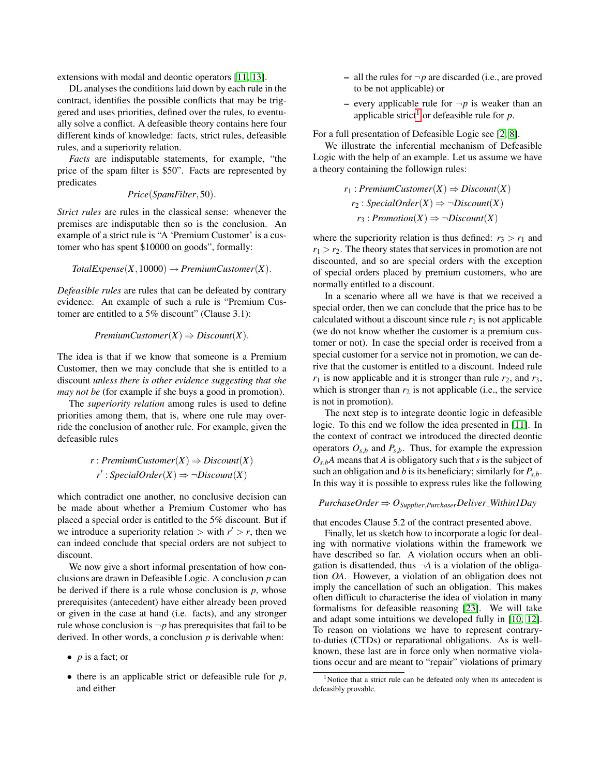extensions with modal and deontic operators [\[11, 13\]](#page-7-0).

DL analyses the conditions laid down by each rule in the contract, identifies the possible conflicts that may be triggered and uses priorities, defined over the rules, to eventually solve a conflict. A defeasible theory contains here four different kinds of knowledge: facts, strict rules, defeasible rules, and a superiority relation.

*Facts* are indisputable statements, for example, "the price of the spam filter is \$50". Facts are represented by predicates

$$
Price(SpamFilter, 50).
$$

*Strict rules* are rules in the classical sense: whenever the premises are indisputable then so is the conclusion. An example of a strict rule is "A 'Premium Customer' is a customer who has spent \$10000 on goods", formally:

$$
Total expense(X, 10000) \rightarrow PremiumCustomer(X).
$$

*Defeasible rules* are rules that can be defeated by contrary evidence. An example of such a rule is "Premium Customer are entitled to a 5% discount" (Clause 3.1):

$$
PremiumCustomer(X) \Rightarrow Discount(X).
$$

The idea is that if we know that someone is a Premium Customer, then we may conclude that she is entitled to a discount *unless there is other evidence suggesting that she may not be* (for example if she buys a good in promotion).

The *superiority relation* among rules is used to define priorities among them, that is, where one rule may override the conclusion of another rule. For example, given the defeasible rules

$$
r: PremiumCustomer(X) \Rightarrow Discount(X)
$$
  
 $r': SpecialOrder(X) \Rightarrow \neg Discount(X)$ 

which contradict one another, no conclusive decision can be made about whether a Premium Customer who has placed a special order is entitled to the 5% discount. But if we introduce a superiority relation  $>$  with  $r' > r$ , then we can indeed conclude that special orders are not subject to discount.

We now give a short informal presentation of how conclusions are drawn in Defeasible Logic. A conclusion *p* can be derived if there is a rule whose conclusion is *p*, whose prerequisites (antecedent) have either already been proved or given in the case at hand (i.e. facts), and any stronger rule whose conclusion is  $\neg p$  has prerequisites that fail to be derived. In other words, a conclusion *p* is derivable when:

- *p* is a fact; or
- there is an applicable strict or defeasible rule for *p*, and either
- all the rules for  $\neg p$  are discarded (i.e., are proved to be not applicable) or
- every applicable rule for  $\neg p$  is weaker than an applicable strict<sup>1</sup> or defeasible rule for  $p$ .

For a full presentation of Defeasible Logic see [\[2, 8\]](#page-7-0).

We illustrate the inferential mechanism of Defeasible Logic with the help of an example. Let us assume we have a theory containing the followign rules:

$$
r_1: PremiumCustomer(X) \Rightarrow Discount(X)
$$
  

$$
r_2: SpecialOrder(X) \Rightarrow \neg Discount(X)
$$
  

$$
r_3: Promotion(X) \Rightarrow \neg Discount(X)
$$

where the superiority relation is thus defined:  $r_3 > r_1$  and  $r_1 > r_2$ . The theory states that services in promotion are not discounted, and so are special orders with the exception of special orders placed by premium customers, who are normally entitled to a discount.

In a scenario where all we have is that we received a special order, then we can conclude that the price has to be calculated without a discount since rule  $r_1$  is not applicable (we do not know whether the customer is a premium customer or not). In case the special order is received from a special customer for a service not in promotion, we can derive that the customer is entitled to a discount. Indeed rule  $r_1$  is now applicable and it is stronger than rule  $r_2$ , and  $r_3$ , which is stronger than  $r_2$  is not applicable (i.e., the service is not in promotion).

The next step is to integrate deontic logic in defeasible logic. To this end we follow the idea presented in [\[11\]](#page-7-0). In the context of contract we introduced the directed deontic operators  $O_{s,b}$  and  $P_{s,b}$ . Thus, for example the expression  $O_{s,b}A$  means that *A* is obligatory such that *s* is the subject of such an obligation and *b* is its beneficiary; similarly for *Ps*,*b*. In this way it is possible to express rules like the following

## *PurchaseOrder* ⇒ *OSupplier*,*PurchaserDeliver Within1Day*

that encodes Clause 5.2 of the contract presented above.

Finally, let us sketch how to incorporate a logic for dealing with normative violations within the framework we have described so far. A violation occurs when an obligation is disattended, thus  $\neg A$  is a violation of the obligation *OA*. However, a violation of an obligation does not imply the cancellation of such an obligation. This makes often difficult to characterise the idea of violation in many formalisms for defeasible reasoning [\[23\]](#page-8-0). We will take and adapt some intuitions we developed fully in [\[10, 12\]](#page-7-0). To reason on violations we have to represent contraryto-duties (CTDs) or reparational obligations. As is wellknown, these last are in force only when normative violations occur and are meant to "repair" violations of primary

<sup>&</sup>lt;sup>1</sup>Notice that a strict rule can be defeated only when its antecedent is defeasibly provable.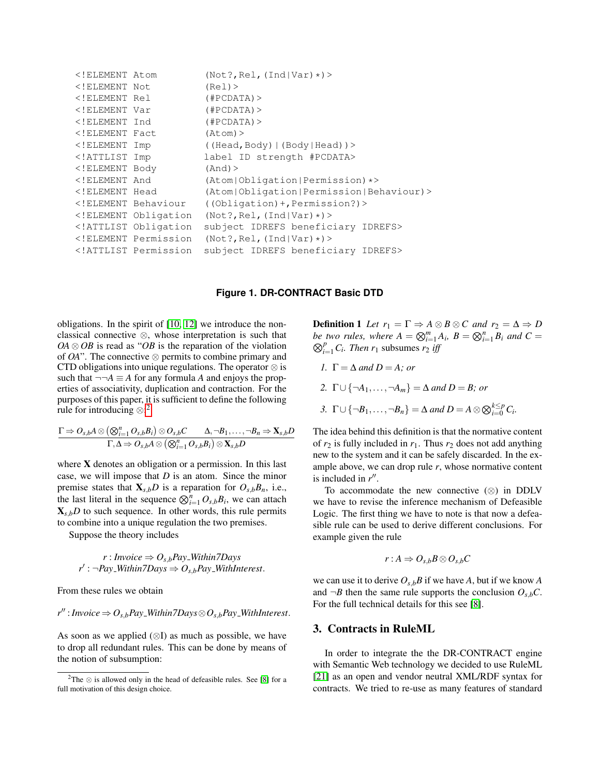<span id="page-3-0"></span>

| ELEMENT Atom</th <th></th> <th><math>(Not?, Rel, (Ind Var)*)</math></th>               |                                                                              | $(Not?, Rel, (Ind Var)*)$                      |
|----------------------------------------------------------------------------------------|------------------------------------------------------------------------------|------------------------------------------------|
| ELEMENT Not</td <td></td> <td>(Rel)</td>                                               |                                                                              | (Rel)                                          |
| ELEMENT Rel</td <td></td> <td>(HPCDATA)</td>                                           |                                                                              | (HPCDATA)                                      |
| ELEMENT Var</td <td></td> <td>(HPCDATA)</td>                                           |                                                                              | (HPCDATA)                                      |
| ELEMENT Ind</td <td></td> <td>(HPCDATA)</td>                                           |                                                                              | (HPCDATA)                                      |
| ELEMENT Fact</td <td></td> <td>(Atom)</td>                                             |                                                                              | (Atom)                                         |
| ELEMENT Imp</td <td></td> <td>(Head, Body)   (Body Head))</td>                         |                                                                              | (Head, Body)   (Body Head))                    |
| ATTLIST Imp</td <td></td> <td>label ID strength #PCDATA&gt;</td>                       |                                                                              | label ID strength #PCDATA>                     |
| ELEMENT Body</td <td></td> <td>(And)</td>                                              |                                                                              | (And)                                          |
| ELEMENT And</td <td></td> <td><math>(Atom   Oblligation   Permission)</math>*&gt;</td> |                                                                              | $(Atom   Oblligation   Permission)$ *>         |
| ELEMENT Head</td <td></td> <td>(Atom   Obligation   Permission   Behaviour) &gt;</td>  |                                                                              | (Atom   Obligation   Permission   Behaviour) > |
|                                                                                        | ELEMENT Behaviour</td <td><math>(Obligation) + Permission?) &gt;</math></td> | $(Obligation) + Permission?) >$                |
|                                                                                        | ELEMENT Obligation</td <td><math>(Not?, Rel, (Ind Var)*)</math></td>         | $(Not?, Rel, (Ind Var)*)$                      |
|                                                                                        | ATTLIST Obligation</td <td>subject IDREFS beneficiary IDREFS&gt;</td>        | subject IDREFS beneficiary IDREFS>             |
|                                                                                        | ELEMENT Permission</td <td><math>(Not?, Rel, (Ind Var)*)</math></td>         | $(Not?, Rel, (Ind Var)*)$                      |
|                                                                                        | ATTLIST Permission</td <td>subject IDREFS beneficiary IDREFS&gt;</td>        | subject IDREFS beneficiary IDREFS>             |
|                                                                                        |                                                                              |                                                |

### **Figure 1. DR-CONTRACT Basic DTD**

obligations. In the spirit of [\[10, 12\]](#page-7-0) we introduce the nonclassical connective ⊗, whose interpretation is such that  $OA \otimes OB$  is read as "*OB* is the reparation of the violation of *OA*". The connective ⊗ permits to combine primary and CTD obligations into unique regulations. The operator  $\otimes$  is such that  $\neg\neg A \equiv A$  for any formula *A* and enjoys the properties of associativity, duplication and contraction. For the purposes of this paper, it is sufficient to define the following rule for introducing  $\otimes$ :<sup>2</sup>

$$
\dfrac{\Gamma \Rightarrow O_{s,b} A \otimes \left(\bigotimes_{i=1}^n O_{s,b} B_i\right) \otimes O_{s,b} C \qquad \Delta, \neg B_1, \ldots, \neg B_n \Rightarrow \mathbf{X}_{s,b} D}{\Gamma, \Delta \Rightarrow O_{s,b} A \otimes \left(\bigotimes_{i=1}^n O_{s,b} B_i\right) \otimes \mathbf{X}_{s,b} D}
$$

where  $X$  denotes an obligation or a permission. In this last case, we will impose that *D* is an atom. Since the minor premise states that  $\mathbf{X}_{s,b}D$  is a reparation for  $O_{s,b}B_n$ , i.e., the last literal in the sequence  $\bigotimes_{i=1}^{n} O_{s,b}B_i$ , we can attach  $\mathbf{X}_{s,b}$ *D* to such sequence. In other words, this rule permits to combine into a unique regulation the two premises.

Suppose the theory includes

$$
r: Invoice \Rightarrow O_{s,b} Pay\_\text{Within} \text{7Days}
$$

$$
r': \neg Pay\_\text{Within} \text{7Days} \Rightarrow O_{s,b} Pay\_\text{WithInterest}.
$$

From these rules we obtain

$$
r''
$$
: *Invoice*  $\Rightarrow$   $O_{s,b}$ *Pay-Within7Das*  $\otimes$   $O_{s,b}$ *Pay-WithInterest.*

As soon as we applied  $(\otimes I)$  as much as possible, we have to drop all redundant rules. This can be done by means of the notion of subsumption:

**Definition 1** Let  $r_1 = \Gamma \Rightarrow A \otimes B \otimes C$  and  $r_2 = \Delta \Rightarrow D$ *be two rules, where*  $A = \bigotimes_{i=1}^{m} A_i$ ,  $B = \bigotimes_{i=1}^{n} B_i$  and  $C =$  $\bigotimes_{i=1}^{p} C_i$ . Then  $r_1$  subsumes  $r_2$  *iff* 

- *1.*  $\Gamma = \Delta$  *and*  $D = A$ ; *or*
- 2.  $\Gamma \cup \{\neg A_1, \ldots, \neg A_m\} = \Delta$  *and*  $D = B$ ; *or*
- *3.*  $\Gamma \cup \{\neg B_1, \dots, \neg B_n\} = \Delta$  and  $D = A \otimes \bigotimes_{i=0}^{k \leq p} C_i$ .

The idea behind this definition is that the normative content of  $r_2$  is fully included in  $r_1$ . Thus  $r_2$  does not add anything new to the system and it can be safely discarded. In the example above, we can drop rule *r*, whose normative content is included in  $r''$ .

To accommodate the new connective  $(\otimes)$  in DDLV we have to revise the inference mechanism of Defeasible Logic. The first thing we have to note is that now a defeasible rule can be used to derive different conclusions. For example given the rule

$$
r:A \Rightarrow O_{s,b}B \otimes O_{s,b}C
$$

we can use it to derive  $O_{s,b}B$  if we have *A*, but if we know *A* and  $\neg B$  then the same rule supports the conclusion  $O_{s,b}C$ . For the full technical details for this see [\[8\]](#page-7-0).

## 3. Contracts in RuleML

In order to integrate the the DR-CONTRACT engine with Semantic Web technology we decided to use RuleML [\[21\]](#page-8-0) as an open and vendor neutral XML/RDF syntax for contracts. We tried to re-use as many features of standard

<sup>&</sup>lt;sup>2</sup>The  $\otimes$  is allowed only in the head of defeasible rules. See [\[8\]](#page-7-0) for a full motivation of this design choice.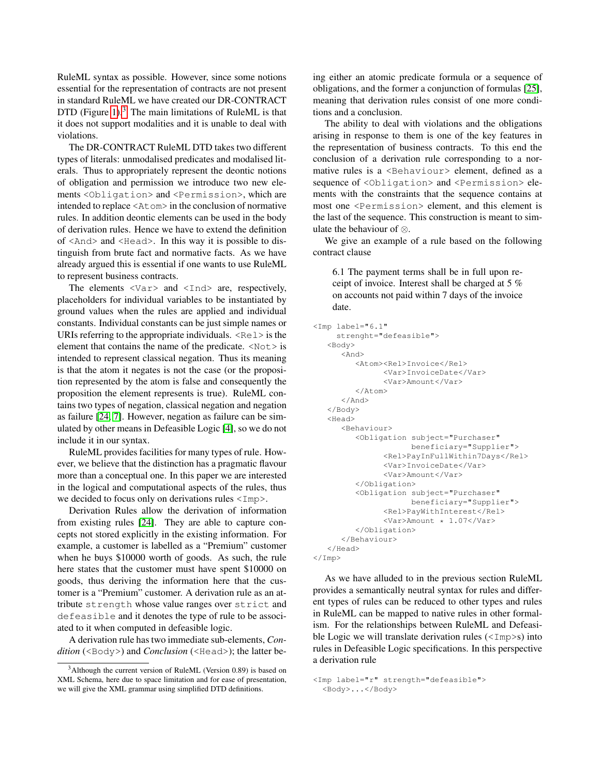RuleML syntax as possible. However, since some notions essential for the representation of contracts are not present in standard RuleML we have created our DR-CONTRACT DTD (Figure  $1$ ).<sup>3</sup> The main limitations of RuleML is that it does not support modalities and it is unable to deal with violations.

The DR-CONTRACT RuleML DTD takes two different types of literals: unmodalised predicates and modalised literals. Thus to appropriately represent the deontic notions of obligation and permission we introduce two new elements <Obligation> and <Permission>, which are intended to replace <Atom> in the conclusion of normative rules. In addition deontic elements can be used in the body of derivation rules. Hence we have to extend the definition of <And> and <Head>. In this way it is possible to distinguish from brute fact and normative facts. As we have already argued this is essential if one wants to use RuleML to represent business contracts.

The elements  $\langle \text{Var} \rangle$  and  $\langle \text{Ind} \rangle$  are, respectively, placeholders for individual variables to be instantiated by ground values when the rules are applied and individual constants. Individual constants can be just simple names or URIs referring to the appropriate individuals.  $\langle \text{ReLU} \rangle$  is the element that contains the name of the predicate.  $\langle \text{Not} \rangle$  is intended to represent classical negation. Thus its meaning is that the atom it negates is not the case (or the proposition represented by the atom is false and consequently the proposition the element represents is true). RuleML contains two types of negation, classical negation and negation as failure [\[24,](#page-8-0) [7\]](#page-7-0). However, negation as failure can be simulated by other means in Defeasible Logic [\[4\]](#page-7-0), so we do not include it in our syntax.

RuleML provides facilities for many types of rule. However, we believe that the distinction has a pragmatic flavour more than a conceptual one. In this paper we are interested in the logical and computational aspects of the rules, thus we decided to focus only on derivations rules  $\langle \text{Imp} \rangle$ .

Derivation Rules allow the derivation of information from existing rules [\[24\]](#page-8-0). They are able to capture concepts not stored explicitly in the existing information. For example, a customer is labelled as a "Premium" customer when he buys \$10000 worth of goods. As such, the rule here states that the customer must have spent \$10000 on goods, thus deriving the information here that the customer is a "Premium" customer. A derivation rule as an attribute strength whose value ranges over strict and defeasible and it denotes the type of rule to be associated to it when computed in defeasible logic.

A derivation rule has two immediate sub-elements, *Condition* (<Body>) and *Conclusion* (<Head>); the latter being either an atomic predicate formula or a sequence of obligations, and the former a conjunction of formulas [\[25\]](#page-8-0), meaning that derivation rules consist of one more conditions and a conclusion.

The ability to deal with violations and the obligations arising in response to them is one of the key features in the representation of business contracts. To this end the conclusion of a derivation rule corresponding to a normative rules is a <Behaviour> element, defined as a sequence of <Obligation> and <Permission> elements with the constraints that the sequence contains at most one <Permission> element, and this element is the last of the sequence. This construction is meant to simulate the behaviour of ⊗.

We give an example of a rule based on the following contract clause

6.1 The payment terms shall be in full upon receipt of invoice. Interest shall be charged at 5 % on accounts not paid within 7 days of the invoice date.

```
<Imp label="6.1"
     strenght="defeasible">
   <Body>
      <And>
         <Atom><Rel>Invoice</Rel>
               <Var>InvoiceDate</Var>
                <Var>Amount</Var>
         \langle/\lambdatom>
      </And>
   </Body>
   <Head>
      <Behaviour>
         <Obligation subject="Purchaser"
                      beneficiary="Supplier">
                <Rel>PayInFullWithin7Days</Rel>
                <Var>InvoiceDate</Var>
                <Var>Amount</Var>
         </Obligation>
         <Obligation subject="Purchaser"
                      beneficiary="Supplier">
                <Rel>PayWithInterest</Rel>
                <Var>Amount * 1.07</Var>
         </Obligation>
      </Behaviour>
   </Head>
\langle/Imp>
```
As we have alluded to in the previous section RuleML provides a semantically neutral syntax for rules and different types of rules can be reduced to other types and rules in RuleML can be mapped to native rules in other formalism. For the relationships between RuleML and Defeasible Logic we will translate derivation rules  $(\langle Imp \rangle)$  into rules in Defeasible Logic specifications. In this perspective a derivation rule

```
<Imp label="r" strength="defeasible">
 <Body>...</Body>
```
 $3$ Although the current version of RuleML (Version 0.89) is based on XML Schema, here due to space limitation and for ease of presentation, we will give the XML grammar using simplified DTD definitions.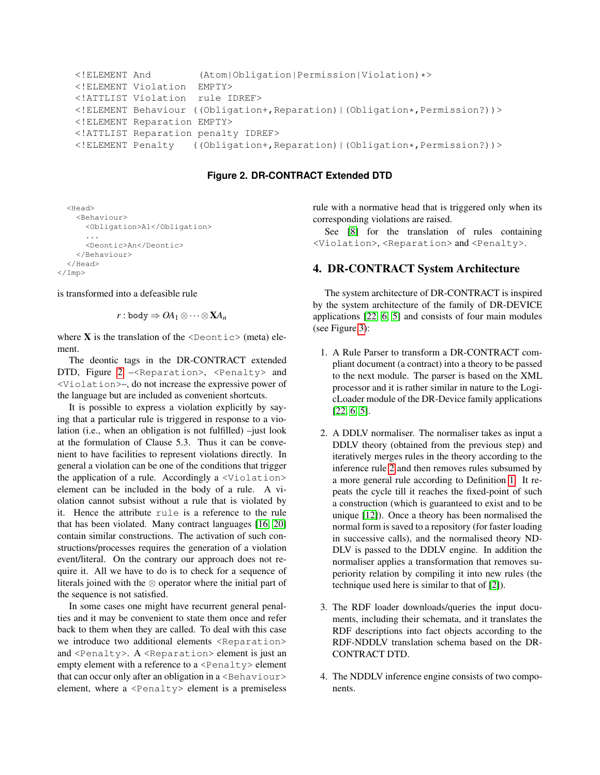```
<!ELEMENT And (Atom|Obligation|Permission|Violation)*>
<!ELEMENT Violation EMPTY>
<!ATTLIST Violation rule IDREF>
<!ELEMENT Behaviour ((Obligation+,Reparation)|(Obligation*,Permission?))>
<!ELEMENT Reparation EMPTY>
<!ATTLIST Reparation penalty IDREF>
<!ELEMENT Penalty ((Obligation+,Reparation)|(Obligation*,Permission?))>
```
## **Figure 2. DR-CONTRACT Extended DTD**

```
<Head>
    <Behaviour>
      <Obligation>A1</Obligation>
      ...
      <Deontic>An</Deontic>
    </Behaviour>
 </Head>
</Imp>
```
is transformed into a defeasible rule

$$
r:\mathsf{body}\Rightarrow O\!A_1\otimes\cdots\otimes\mathbf{X}\!A_n
$$

where  $X$  is the translation of the  $\leq$ Deontic> (meta) element.

The deontic tags in the DR-CONTRACT extended DTD, Figure 2 –<Reparation>, <Penalty> and <Violation>–, do not increase the expressive power of the language but are included as convenient shortcuts.

It is possible to express a violation explicitly by saying that a particular rule is triggered in response to a violation (i.e., when an obligation is not fulfilled) –just look at the formulation of Clause 5.3. Thus it can be convenient to have facilities to represent violations directly. In general a violation can be one of the conditions that trigger the application of a rule. Accordingly a <Violation> element can be included in the body of a rule. A violation cannot subsist without a rule that is violated by it. Hence the attribute rule is a reference to the rule that has been violated. Many contract languages [\[16,](#page-7-0) [20\]](#page-8-0) contain similar constructions. The activation of such constructions/processes requires the generation of a violation event/literal. On the contrary our approach does not require it. All we have to do is to check for a sequence of literals joined with the ⊗ operator where the initial part of the sequence is not satisfied.

In some cases one might have recurrent general penalties and it may be convenient to state them once and refer back to them when they are called. To deal with this case we introduce two additional elements <Reparation> and <Penalty>. A <Reparation> element is just an empty element with a reference to a <Penalty> element that can occur only after an obligation in a  $\leq$ Behaviour> element, where a <Penalty> element is a premiseless rule with a normative head that is triggered only when its corresponding violations are raised.

See [\[8\]](#page-7-0) for the translation of rules containing <Violation>, <Reparation> and <Penalty>.

## 4. DR-CONTRACT System Architecture

The system architecture of DR-CONTRACT is inspired by the system architecture of the family of DR-DEVICE applications [\[22,](#page-8-0) [6, 5\]](#page-7-0) and consists of four main modules (see Figure [3\)](#page-6-0):

- 1. A Rule Parser to transform a DR-CONTRACT compliant document (a contract) into a theory to be passed to the next module. The parser is based on the XML processor and it is rather similar in nature to the LogicLoader module of the DR-Device family applications [\[22,](#page-8-0) [6, 5\]](#page-7-0).
- 2. A DDLV normaliser. The normaliser takes as input a DDLV theory (obtained from the previous step) and iteratively merges rules in the theory according to the inference rule [2](#page-3-0) and then removes rules subsumed by a more general rule according to Definition [1.](#page-3-0) It repeats the cycle till it reaches the fixed-point of such a construction (which is guaranteed to exist and to be unique [\[12\]](#page-7-0)). Once a theory has been normalised the normal form is saved to a repository (for faster loading in successive calls), and the normalised theory ND-DLV is passed to the DDLV engine. In addition the normaliser applies a transformation that removes superiority relation by compiling it into new rules (the technique used here is similar to that of [\[2\]](#page-7-0)).
- 3. The RDF loader downloads/queries the input documents, including their schemata, and it translates the RDF descriptions into fact objects according to the RDF-NDDLV translation schema based on the DR-CONTRACT DTD.
- 4. The NDDLV inference engine consists of two components.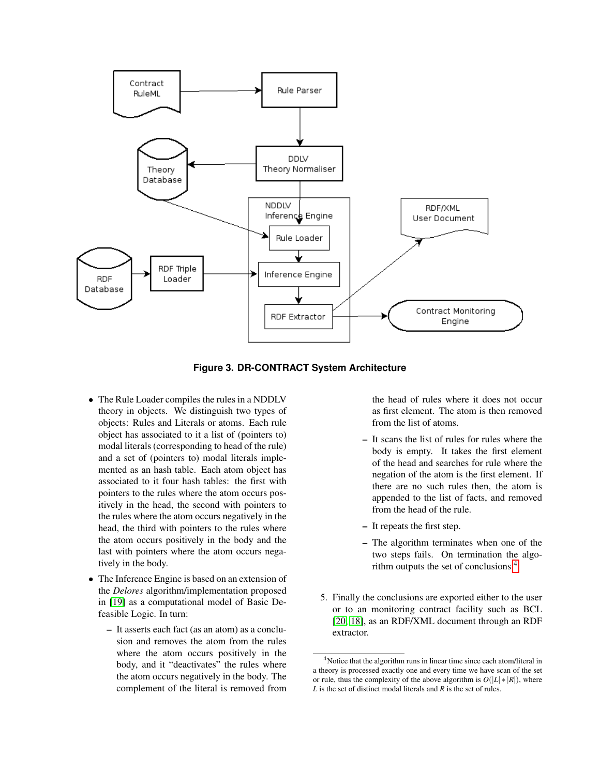<span id="page-6-0"></span>

**Figure 3. DR-CONTRACT System Architecture**

- The Rule Loader compiles the rules in a NDDLV theory in objects. We distinguish two types of objects: Rules and Literals or atoms. Each rule object has associated to it a list of (pointers to) modal literals (corresponding to head of the rule) and a set of (pointers to) modal literals implemented as an hash table. Each atom object has associated to it four hash tables: the first with pointers to the rules where the atom occurs positively in the head, the second with pointers to the rules where the atom occurs negatively in the head, the third with pointers to the rules where the atom occurs positively in the body and the last with pointers where the atom occurs negatively in the body.
- The Inference Engine is based on an extension of the *Delores* algorithm/implementation proposed in [\[19\]](#page-8-0) as a computational model of Basic Defeasible Logic. In turn:
	- It asserts each fact (as an atom) as a conclusion and removes the atom from the rules where the atom occurs positively in the body, and it "deactivates" the rules where the atom occurs negatively in the body. The complement of the literal is removed from

the head of rules where it does not occur as first element. The atom is then removed from the list of atoms.

- It scans the list of rules for rules where the body is empty. It takes the first element of the head and searches for rule where the negation of the atom is the first element. If there are no such rules then, the atom is appended to the list of facts, and removed from the head of the rule.
- It repeats the first step.
- The algorithm terminates when one of the two steps fails. On termination the algorithm outputs the set of conclusions.<sup>4</sup>
- 5. Finally the conclusions are exported either to the user or to an monitoring contract facility such as BCL [\[20, 18\]](#page-8-0), as an RDF/XML document through an RDF extractor.

<sup>4</sup>Notice that the algorithm runs in linear time since each atom/literal in a theory is processed exactly one and every time we have scan of the set or rule, thus the complexity of the above algorithm is  $O(|L| * |R|)$ , where *L* is the set of distinct modal literals and *R* is the set of rules.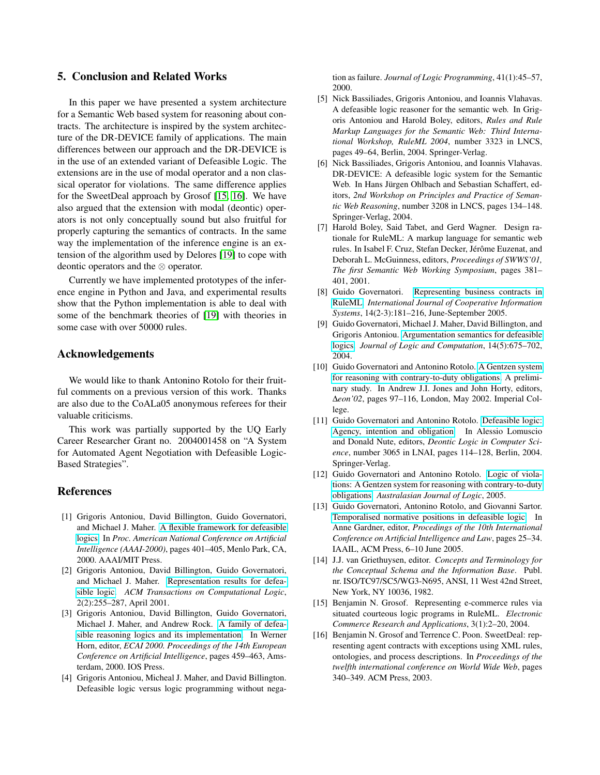## <span id="page-7-0"></span>5. Conclusion and Related Works

In this paper we have presented a system architecture for a Semantic Web based system for reasoning about contracts. The architecture is inspired by the system architecture of the DR-DEVICE family of applications. The main differences between our approach and the DR-DEVICE is in the use of an extended variant of Defeasible Logic. The extensions are in the use of modal operator and a non classical operator for violations. The same difference applies for the SweetDeal approach by Grosof [15, 16]. We have also argued that the extension with modal (deontic) operators is not only conceptually sound but also fruitful for properly capturing the semantics of contracts. In the same way the implementation of the inference engine is an extension of the algorithm used by Delores [\[19\]](#page-8-0) to cope with deontic operators and the ⊗ operator.

Currently we have implemented prototypes of the inference engine in Python and Java, and experimental results show that the Python implementation is able to deal with some of the benchmark theories of [\[19\]](#page-8-0) with theories in some case with over 50000 rules.

## Acknowledgements

We would like to thank Antonino Rotolo for their fruitful comments on a previous version of this work. Thanks are also due to the CoALa05 anonymous referees for their valuable criticisms.

This work was partially supported by the UQ Early Career Researcher Grant no. 2004001458 on "A System for Automated Agent Negotiation with Defeasible Logic-Based Strategies".

## References

- [1] Grigoris Antoniou, David Billington, Guido Governatori, and Michael J. Maher. [A flexible framework for defeasible](http://eprint.uq.edu.au/archive/00002116/01/aaai2000.pdf) [logics.](http://eprint.uq.edu.au/archive/00002116/01/aaai2000.pdf) In *Proc. American National Conference on Artificial Intelligence (AAAI-2000)*, pages 401–405, Menlo Park, CA, 2000. AAAI/MIT Press.
- [2] Grigoris Antoniou, David Billington, Guido Governatori, and Michael J. Maher. [Representation results for defea](http://eprint.uq.edu.au/archive/00002222/01/tocl.pdf)[sible logic.](http://eprint.uq.edu.au/archive/00002222/01/tocl.pdf) *ACM Transactions on Computational Logic*, 2(2):255–287, April 2001.
- [3] Grigoris Antoniou, David Billington, Guido Governatori, Michael J. Maher, and Andrew Rock. [A family of defea](http://eprint.uq.edu.au/archive/00002112/01/ecai2000f.pdf)[sible reasoning logics and its implementation.](http://eprint.uq.edu.au/archive/00002112/01/ecai2000f.pdf) In Werner Horn, editor, *ECAI 2000. Proceedings of the 14th European Conference on Artificial Intelligence*, pages 459–463, Amsterdam, 2000. IOS Press.
- [4] Grigoris Antoniou, Micheal J. Maher, and David Billington. Defeasible logic versus logic programming without nega-

tion as failure. *Journal of Logic Programming*, 41(1):45–57, 2000.

- [5] Nick Bassiliades, Grigoris Antoniou, and Ioannis Vlahavas. A defeasible logic reasoner for the semantic web. In Grigoris Antoniou and Harold Boley, editors, *Rules and Rule Markup Languages for the Semantic Web: Third International Workshop, RuleML 2004*, number 3323 in LNCS, pages 49–64, Berlin, 2004. Springer-Verlag.
- [6] Nick Bassiliades, Grigoris Antoniou, and Ioannis Vlahavas. DR-DEVICE: A defeasible logic system for the Semantic Web. In Hans Jürgen Ohlbach and Sebastian Schaffert, editors, *2nd Workshop on Principles and Practice of Semantic Web Reasoning*, number 3208 in LNCS, pages 134–148. Springer-Verlag, 2004.
- [7] Harold Boley, Said Tabet, and Gerd Wagner. Design rationale for RuleML: A markup language for semantic web rules. In Isabel F. Cruz, Stefan Decker, Jérôme Euzenat, and Deborah L. McGuinness, editors, *Proceedings of SWWS'01, The first Semantic Web Working Symposium*, pages 381– 401, 2001.
- [8] Guido Governatori. [Representing business contracts in](http://eprint.uq.edu.au/archive/00002225/01/coala.pdf) [RuleML.](http://eprint.uq.edu.au/archive/00002225/01/coala.pdf) *International Journal of Cooperative Information Systems*, 14(2-3):181–216, June-September 2005.
- [9] Guido Governatori, Michael J. Maher, David Billington, and Grigoris Antoniou. [Argumentation semantics for defeasible](http://eprint.uq.edu.au/archive/00002228/01/preamble.pdf) [logics.](http://eprint.uq.edu.au/archive/00002228/01/preamble.pdf) *Journal of Logic and Computation*, 14(5):675–702, 2004.
- [10] Guido Governatori and Antonino Rotolo. [A Gentzen system](http://eprint.uq.edu.au/archive/00001893/01/deon02.pdf) [for reasoning with contrary-to-duty obligations.](http://eprint.uq.edu.au/archive/00001893/01/deon02.pdf) A preliminary study. In Andrew J.I. Jones and John Horty, editors, ∆*eon'02*, pages 97–116, London, May 2002. Imperial College.
- [11] Guido Governatori and Antonino Rotolo. [Defeasible logic:](http://eprint.uq.edu.au/archive/00002196/01/deon04.pdf) [Agency, intention and obligation.](http://eprint.uq.edu.au/archive/00002196/01/deon04.pdf) In Alessio Lomuscio and Donald Nute, editors, *Deontic Logic in Computer Science*, number 3065 in LNAI, pages 114–128, Berlin, 2004. Springer-Verlag.
- [12] Guido Governatori and Antonino Rotolo. [Logic of viola](http://eprint.uq.edu.au/archive/00002629/01/main.pdf)[tions: A Gentzen system for reasoning with contrary-to-duty](http://eprint.uq.edu.au/archive/00002629/01/main.pdf) [obligations.](http://eprint.uq.edu.au/archive/00002629/01/main.pdf) *Australasian Journal of Logic*, 2005.
- [13] Guido Governatori, Antonino Rotolo, and Giovanni Sartor. [Temporalised normative positions in defeasible logic.](http://eprint.uq.edu.au/archive/00002279/01/ic05.pdf) In Anne Gardner, editor, *Procedings of the 10th International Conference on Artificial Intelligence and Law*, pages 25–34. IAAIL, ACM Press, 6–10 June 2005.
- [14] J.J. van Griethuysen, editor. *Concepts and Terminology for the Conceptual Schema and the Information Base*. Publ. nr. ISO/TC97/SC5/WG3-N695, ANSI, 11 West 42nd Street, New York, NY 10036, 1982.
- [15] Benjamin N. Grosof. Representing e-commerce rules via situated courteous logic programs in RuleML. *Electronic Commerce Research and Applications*, 3(1):2–20, 2004.
- [16] Benjamin N. Grosof and Terrence C. Poon. SweetDeal: representing agent contracts with exceptions using XML rules, ontologies, and process descriptions. In *Proceedings of the twelfth international conference on World Wide Web*, pages 340–349. ACM Press, 2003.